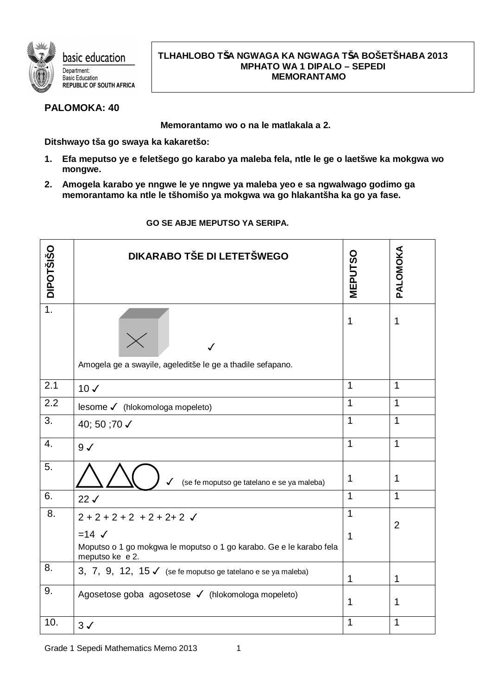

## **TLHAHLOBO TŠA NGWAGA KA NGWAGA TŠA BOŠETŠHABA 2013 MPHATO WA 1 DIPALO – SEPEDI MEMORANTAMO**

## **PALOMOKA: 40**

**Memorantamo wo o na le matlakala a 2.**

**Ditshwayo tša go swaya ka kakaretšo:**

- **1. Efa meputso ye e feletšego go karabo ya maleba fela, ntle le ge o laetšwe ka mokgwa wo mongwe.**
- **2. Amogela karabo ye nngwe le ye nngwe ya maleba yeo e sa ngwalwago godimo ga memorantamo ka ntle le tšhomišo ya mokgwa wa go hlakantšha ka go ya fase.**

| <b>DIPOTŠIŠO</b> | <b>DIKARABO TŠE DI LETETŠWEGO</b>                                                                            | <b>MEPUTSO</b> | PALOMOKA       |
|------------------|--------------------------------------------------------------------------------------------------------------|----------------|----------------|
| $\overline{1}$ . | Amogela ge a swayile, ageleditše le ge a thadile sefapano.                                                   | 1              | 1              |
| 2.1              | $10 \checkmark$                                                                                              | 1              | $\mathbf{1}$   |
| $\overline{2.2}$ | lesome √ (hlokomologa mopeleto)                                                                              | 1              | 1              |
| 3.               | 40; 50 ;70 √                                                                                                 | 1              | 1              |
| 4.               | $9\checkmark$                                                                                                | 1              | $\mathbf{1}$   |
| 5.               | (se fe moputso ge tatelano e se ya maleba)<br>✓                                                              | 1              | 1              |
| 6.               | 22J                                                                                                          | 1              | 1              |
| 8.               | $2 + 2 + 2 + 2 + 2 + 2 + 2$                                                                                  | 1              | $\overline{2}$ |
|                  | $=14$ $\checkmark$<br>Moputso o 1 go mokgwa le moputso o 1 go karabo. Ge e le karabo fela<br>meputso ke e 2. | 1              |                |
| 8.               | 3, 7, 9, 12, 15 $\checkmark$ (se fe moputso ge tatelano e se ya maleba)                                      | 1              | 1              |
| 9.               | Agosetose goba agosetose √ (hlokomologa mopeleto)                                                            | 1              | 1              |
| 10.              | $3\checkmark$                                                                                                | 1              | 1              |

## **GO SE ABJE MEPUTSO YA SERIPA.**